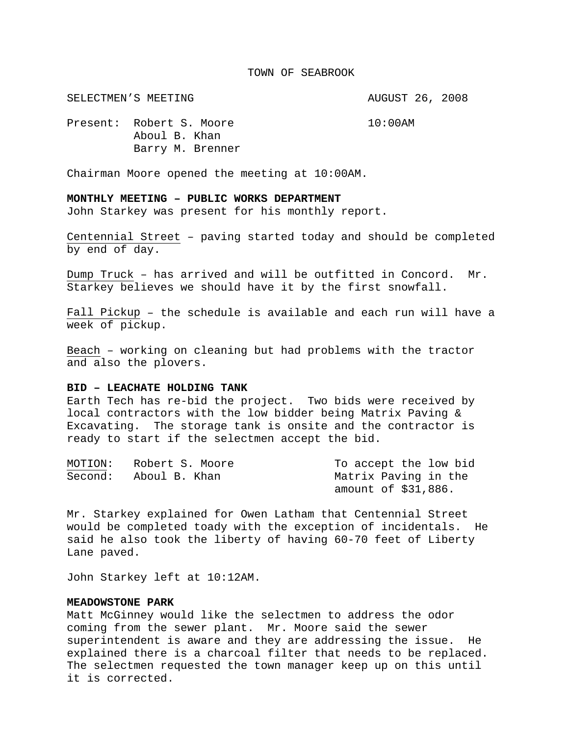#### TOWN OF SEABROOK

SELECTMEN'S MEETING **AUGUST 26, 2008** 

Present: Robert S. Moore 10:00AM Aboul B. Khan Barry M. Brenner

Chairman Moore opened the meeting at 10:00AM.

# **MONTHLY MEETING – PUBLIC WORKS DEPARTMENT**

John Starkey was present for his monthly report.

Centennial Street – paving started today and should be completed by end of day.

Dump Truck – has arrived and will be outfitted in Concord. Mr. Starkey believes we should have it by the first snowfall.

Fall Pickup – the schedule is available and each run will have a week of pickup.

Beach – working on cleaning but had problems with the tractor and also the plovers.

# **BID – LEACHATE HOLDING TANK**

Earth Tech has re-bid the project. Two bids were received by local contractors with the low bidder being Matrix Paving & Excavating. The storage tank is onsite and the contractor is ready to start if the selectmen accept the bid.

| MOTION: | Robert S. Moore | To accept the low bid |
|---------|-----------------|-----------------------|
| Second: | Aboul B. Khan   | Matrix Paving in the  |
|         |                 | amount of \$31,886.   |

Mr. Starkey explained for Owen Latham that Centennial Street would be completed toady with the exception of incidentals. He said he also took the liberty of having 60-70 feet of Liberty Lane paved.

John Starkey left at 10:12AM.

# **MEADOWSTONE PARK**

Matt McGinney would like the selectmen to address the odor coming from the sewer plant. Mr. Moore said the sewer superintendent is aware and they are addressing the issue. He explained there is a charcoal filter that needs to be replaced. The selectmen requested the town manager keep up on this until it is corrected.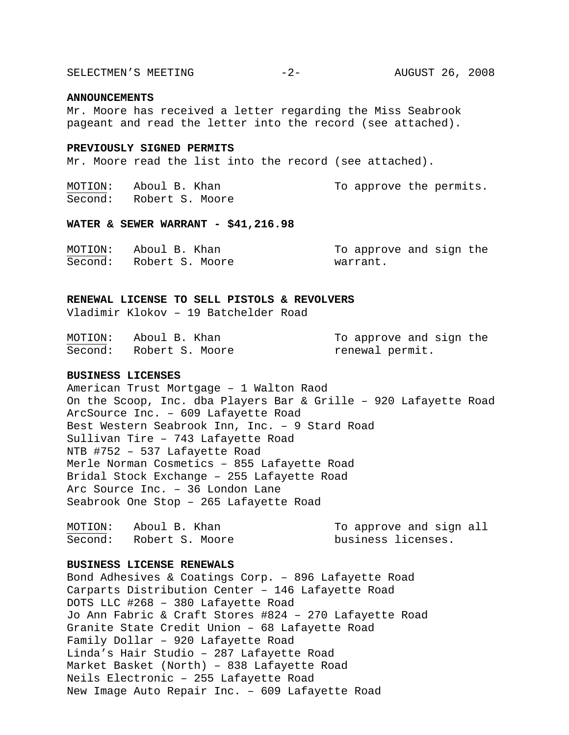SELECTMEN'S MEETING -2- AUGUST 26, 2008

#### **ANNOUNCEMENTS**

Mr. Moore has received a letter regarding the Miss Seabrook pageant and read the letter into the record (see attached).

# **PREVIOUSLY SIGNED PERMITS**

Mr. Moore read the list into the record (see attached).

| MOTION: | Aboul B. Khan   |  | To approve the permits. |
|---------|-----------------|--|-------------------------|
| Second: | Robert S. Moore |  |                         |

#### **WATER & SEWER WARRANT - \$41,216.98**

| MOTION: | Aboul B. Khan           | To approve and sign the |
|---------|-------------------------|-------------------------|
|         | Second: Robert S. Moore | warrant.                |

### **RENEWAL LICENSE TO SELL PISTOLS & REVOLVERS**

Vladimir Klokov – 19 Batchelder Road

| MOTION: | Aboul B. Khan   | To approve and sign the |
|---------|-----------------|-------------------------|
| Second: | Robert S. Moore | renewal permit.         |

### **BUSINESS LICENSES**

American Trust Mortgage – 1 Walton Raod On the Scoop, Inc. dba Players Bar & Grille – 920 Lafayette Road ArcSource Inc. – 609 Lafayette Road Best Western Seabrook Inn, Inc. – 9 Stard Road Sullivan Tire – 743 Lafayette Road NTB #752 – 537 Lafayette Road Merle Norman Cosmetics – 855 Lafayette Road Bridal Stock Exchange – 255 Lafayette Road Arc Source Inc. – 36 London Lane Seabrook One Stop – 265 Lafayette Road

| MOTION: | Aboul B. Khan   | To approve and sign all |
|---------|-----------------|-------------------------|
| Second: | Robert S. Moore | business licenses.      |

### **BUSINESS LICENSE RENEWALS**

Bond Adhesives & Coatings Corp. – 896 Lafayette Road Carparts Distribution Center – 146 Lafayette Road DOTS LLC #268 – 380 Lafayette Road Jo Ann Fabric & Craft Stores #824 – 270 Lafayette Road Granite State Credit Union – 68 Lafayette Road Family Dollar – 920 Lafayette Road Linda's Hair Studio – 287 Lafayette Road Market Basket (North) – 838 Lafayette Road Neils Electronic – 255 Lafayette Road New Image Auto Repair Inc. – 609 Lafayette Road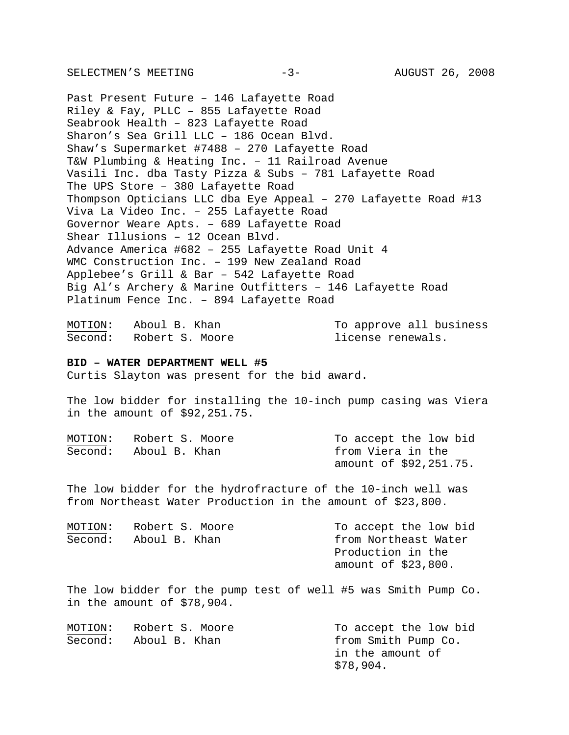SELECTMEN'S MEETING -3- AUGUST 26, 2008

Past Present Future – 146 Lafayette Road Riley & Fay, PLLC – 855 Lafayette Road Seabrook Health – 823 Lafayette Road Sharon's Sea Grill LLC – 186 Ocean Blvd. Shaw's Supermarket #7488 – 270 Lafayette Road T&W Plumbing & Heating Inc. – 11 Railroad Avenue Vasili Inc. dba Tasty Pizza & Subs – 781 Lafayette Road The UPS Store – 380 Lafayette Road Thompson Opticians LLC dba Eye Appeal – 270 Lafayette Road #13 Viva La Video Inc. – 255 Lafayette Road Governor Weare Apts. – 689 Lafayette Road Shear Illusions – 12 Ocean Blvd. Advance America #682 – 255 Lafayette Road Unit 4 WMC Construction Inc. – 199 New Zealand Road Applebee's Grill & Bar – 542 Lafayette Road Big Al's Archery & Marine Outfitters – 146 Lafayette Road Platinum Fence Inc. – 894 Lafayette Road

MOTION: Aboul B. Khan To approve all business Second: Robert S. Moore license renewals.

#### **BID – WATER DEPARTMENT WELL #5**

Curtis Slayton was present for the bid award.

The low bidder for installing the 10-inch pump casing was Viera in the amount of \$92,251.75.

| MOTION: | Robert S. Moore | To accept the low bid  |
|---------|-----------------|------------------------|
| Second: | Aboul B. Khan   | from Viera in the      |
|         |                 | amount of \$92,251.75. |

The low bidder for the hydrofracture of the 10-inch well was from Northeast Water Production in the amount of \$23,800.

| MOTION: | Robert S. Moore | To accept the low bid |
|---------|-----------------|-----------------------|
| Second: | Aboul B. Khan   | from Northeast Water  |
|         |                 | Production in the     |
|         |                 | amount of $$23,800$ . |

The low bidder for the pump test of well #5 was Smith Pump Co. in the amount of \$78,904.

| MOTION: | Robert S. Moore | To accept the low bid |
|---------|-----------------|-----------------------|
| Second: | Aboul B. Khan   | from Smith Pump Co.   |
|         |                 | in the amount of      |
|         |                 | \$78,904.             |